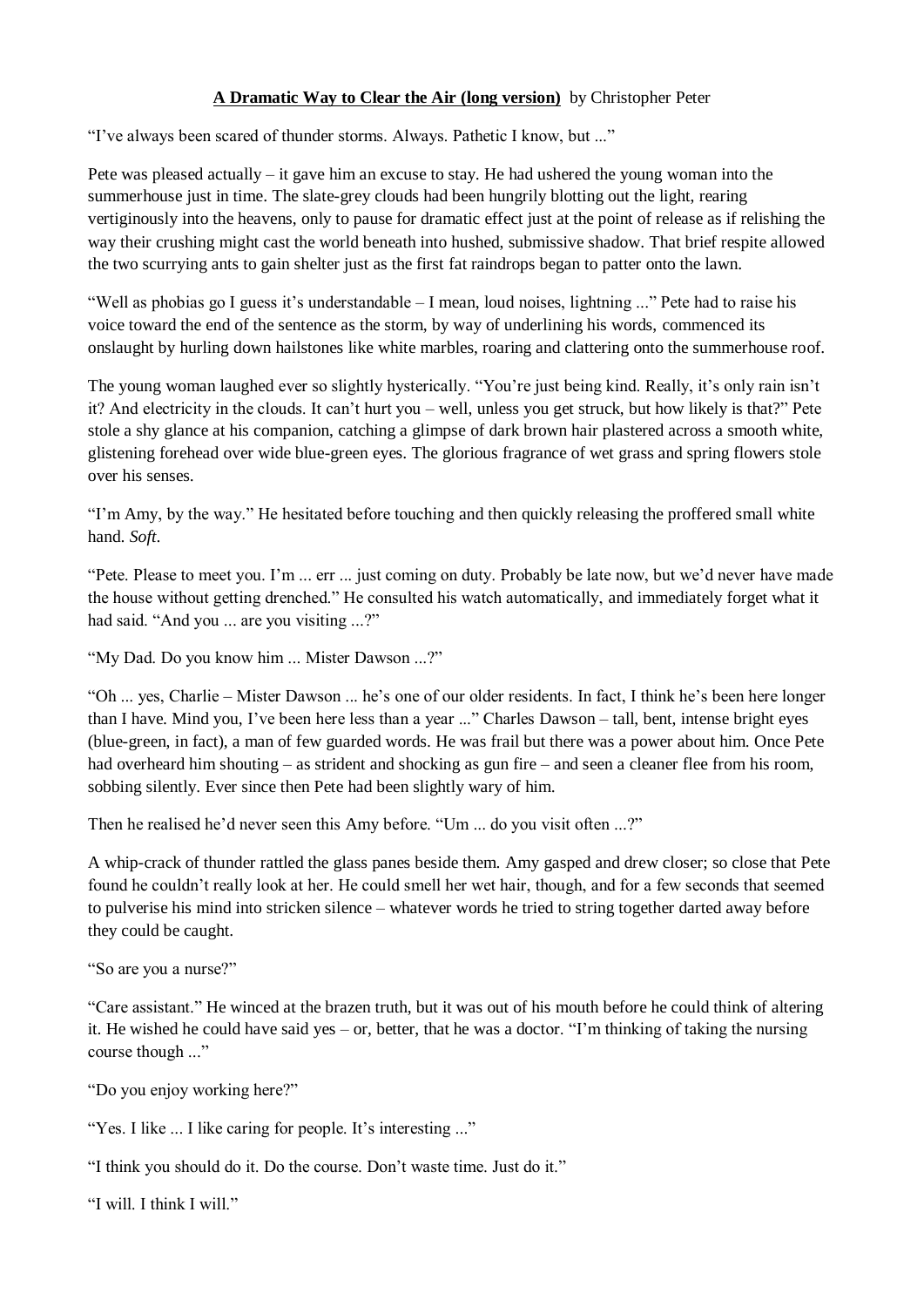## **A Dramatic Way to Clear the Air (long version)** by Christopher Peter

"I've always been scared of thunder storms. Always. Pathetic I know, but ..."

Pete was pleased actually – it gave him an excuse to stay. He had ushered the young woman into the summerhouse just in time. The slate-grey clouds had been hungrily blotting out the light, rearing vertiginously into the heavens, only to pause for dramatic effect just at the point of release as if relishing the way their crushing might cast the world beneath into hushed, submissive shadow. That brief respite allowed the two scurrying ants to gain shelter just as the first fat raindrops began to patter onto the lawn.

"Well as phobias go I guess it's understandable – I mean, loud noises, lightning ..." Pete had to raise his voice toward the end of the sentence as the storm, by way of underlining his words, commenced its onslaught by hurling down hailstones like white marbles, roaring and clattering onto the summerhouse roof.

The young woman laughed ever so slightly hysterically. "You're just being kind. Really, it's only rain isn't it? And electricity in the clouds. It can't hurt you – well, unless you get struck, but how likely is that?" Pete stole a shy glance at his companion, catching a glimpse of dark brown hair plastered across a smooth white, glistening forehead over wide blue-green eyes. The glorious fragrance of wet grass and spring flowers stole over his senses.

"I'm Amy, by the way." He hesitated before touching and then quickly releasing the proffered small white hand. *Soft*.

"Pete. Please to meet you. I'm ... err ... just coming on duty. Probably be late now, but we'd never have made the house without getting drenched." He consulted his watch automatically, and immediately forget what it had said. "And you ... are you visiting ...?"

"My Dad. Do you know him ... Mister Dawson ...?"

"Oh ... yes, Charlie – Mister Dawson ... he's one of our older residents. In fact, I think he's been here longer than I have. Mind you, I've been here less than a year ..." Charles Dawson – tall, bent, intense bright eyes (blue-green, in fact), a man of few guarded words. He was frail but there was a power about him. Once Pete had overheard him shouting – as strident and shocking as gun fire – and seen a cleaner flee from his room, sobbing silently. Ever since then Pete had been slightly wary of him.

Then he realised he'd never seen this Amy before. "Um ... do you visit often ...?"

A whip-crack of thunder rattled the glass panes beside them. Amy gasped and drew closer; so close that Pete found he couldn't really look at her. He could smell her wet hair, though, and for a few seconds that seemed to pulverise his mind into stricken silence – whatever words he tried to string together darted away before they could be caught.

"So are you a nurse?"

"Care assistant." He winced at the brazen truth, but it was out of his mouth before he could think of altering it. He wished he could have said yes – or, better, that he was a doctor. "I'm thinking of taking the nursing course though ..."

"Do you enjoy working here?"

"Yes. I like ... I like caring for people. It's interesting ..."

"I think you should do it. Do the course. Don't waste time. Just do it."

"I will. I think I will."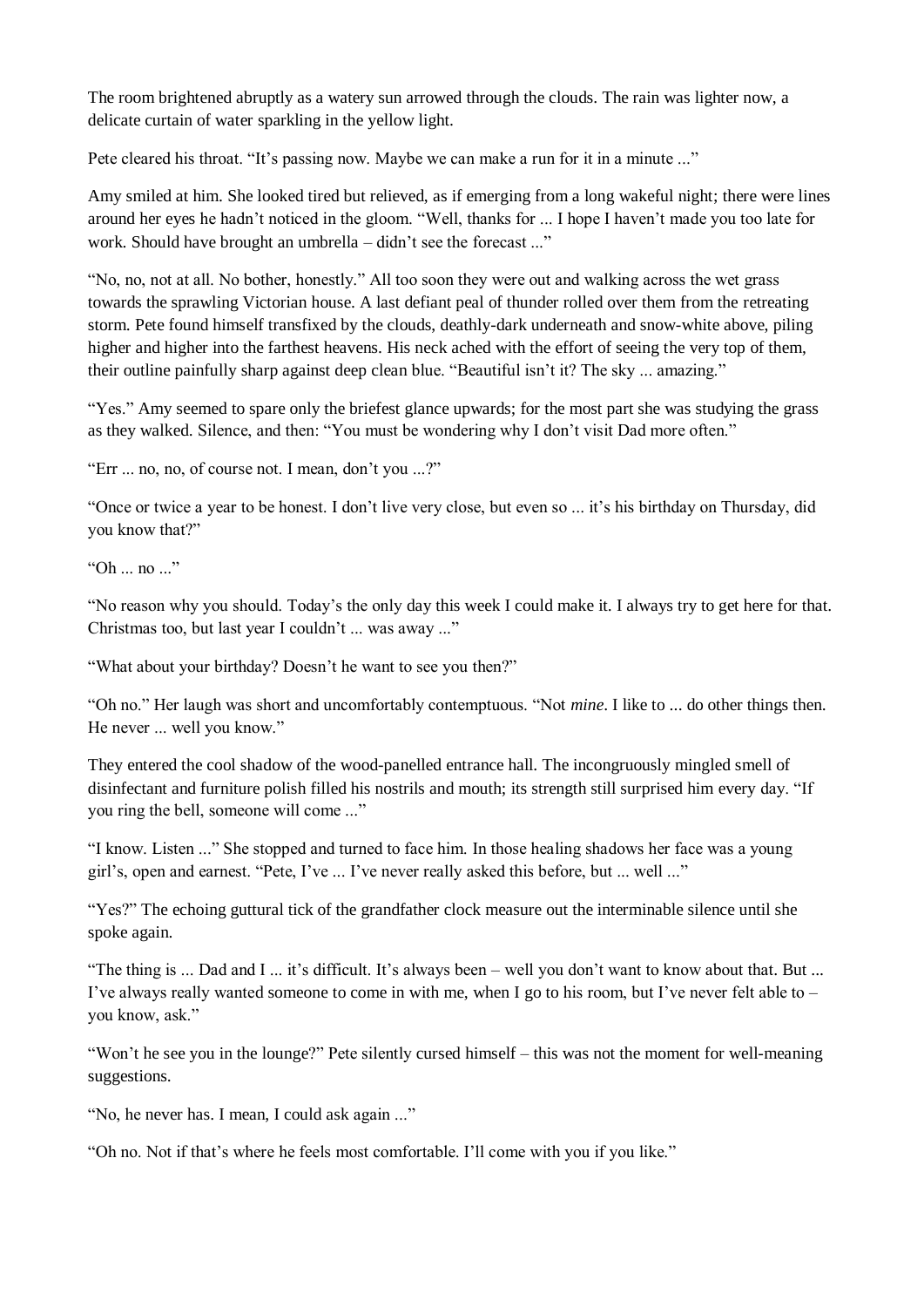The room brightened abruptly as a watery sun arrowed through the clouds. The rain was lighter now, a delicate curtain of water sparkling in the yellow light.

Pete cleared his throat. "It's passing now. Maybe we can make a run for it in a minute ..."

Amy smiled at him. She looked tired but relieved, as if emerging from a long wakeful night; there were lines around her eyes he hadn't noticed in the gloom. "Well, thanks for ... I hope I haven't made you too late for work. Should have brought an umbrella – didn't see the forecast ..."

"No, no, not at all. No bother, honestly." All too soon they were out and walking across the wet grass towards the sprawling Victorian house. A last defiant peal of thunder rolled over them from the retreating storm. Pete found himself transfixed by the clouds, deathly-dark underneath and snow-white above, piling higher and higher into the farthest heavens. His neck ached with the effort of seeing the very top of them, their outline painfully sharp against deep clean blue. "Beautiful isn't it? The sky ... amazing."

"Yes." Amy seemed to spare only the briefest glance upwards; for the most part she was studying the grass as they walked. Silence, and then: "You must be wondering why I don't visit Dad more often."

"Err ... no, no, of course not. I mean, don't you ...?"

"Once or twice a year to be honest. I don't live very close, but even so ... it's his birthday on Thursday, did you know that?"

"Oh ... no ..."

"No reason why you should. Today's the only day this week I could make it. I always try to get here for that. Christmas too, but last year I couldn't ... was away ..."

"What about your birthday? Doesn't he want to see you then?"

"Oh no." Her laugh was short and uncomfortably contemptuous. "Not *mine*. I like to ... do other things then. He never ... well you know."

They entered the cool shadow of the wood-panelled entrance hall. The incongruously mingled smell of disinfectant and furniture polish filled his nostrils and mouth; its strength still surprised him every day. "If you ring the bell, someone will come ..."

"I know. Listen ..." She stopped and turned to face him. In those healing shadows her face was a young girl's, open and earnest. "Pete, I've ... I've never really asked this before, but ... well ..."

"Yes?" The echoing guttural tick of the grandfather clock measure out the interminable silence until she spoke again.

"The thing is ... Dad and I ... it's difficult. It's always been – well you don't want to know about that. But ... I've always really wanted someone to come in with me, when I go to his room, but I've never felt able to – you know, ask."

"Won't he see you in the lounge?" Pete silently cursed himself – this was not the moment for well-meaning suggestions.

"No, he never has. I mean, I could ask again ..."

"Oh no. Not if that's where he feels most comfortable. I'll come with you if you like."